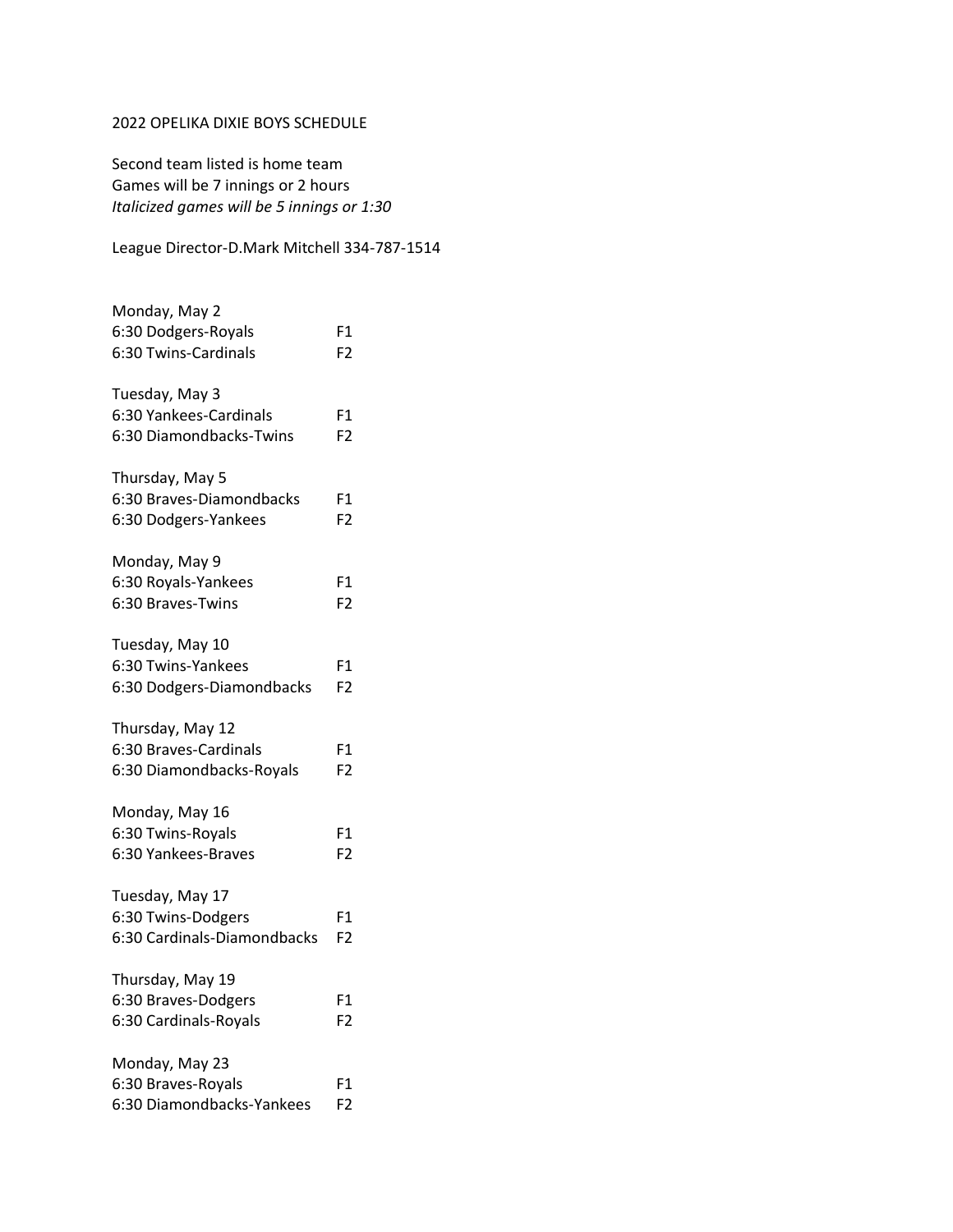## 2022 OPELIKA DIXIE BOYS SCHEDULE

Second team listed is home team Games will be 7 innings or 2 hours *Italicized games will be 5 innings or 1:30*

League Director-D.Mark Mitchell 334-787-1514

| Monday, May 2               |                |
|-----------------------------|----------------|
| 6:30 Dodgers-Royals         | F1             |
| 6:30 Twins-Cardinals        | F <sub>2</sub> |
| Tuesday, May 3              |                |
| 6:30 Yankees-Cardinals      | F1             |
| 6:30 Diamondbacks-Twins     | F2             |
| Thursday, May 5             |                |
| 6:30 Braves-Diamondbacks    | F1             |
| 6:30 Dodgers-Yankees        | F <sub>2</sub> |
| Monday, May 9               |                |
| 6:30 Royals-Yankees         | F1             |
| 6:30 Braves-Twins           | F <sub>2</sub> |
| Tuesday, May 10             |                |
| 6:30 Twins-Yankees          | F1             |
| 6:30 Dodgers-Diamondbacks   | F <sub>2</sub> |
| Thursday, May 12            |                |
| 6:30 Braves-Cardinals       | F1             |
| 6:30 Diamondbacks-Royals    | F <sub>2</sub> |
| Monday, May 16              |                |
| 6:30 Twins-Royals           | F1             |
| 6:30 Yankees-Braves         | F <sub>2</sub> |
| Tuesday, May 17             |                |
| 6:30 Twins-Dodgers          | F1             |
| 6:30 Cardinals-Diamondbacks | F2             |
| Thursday, May 19            |                |
| 6:30 Braves-Dodgers         | F1             |
| 6:30 Cardinals-Royals       | F2             |
| Monday, May 23              |                |
| 6:30 Braves-Royals          | F1             |
| 6:30 Diamondbacks-Yankees   | F <sub>2</sub> |